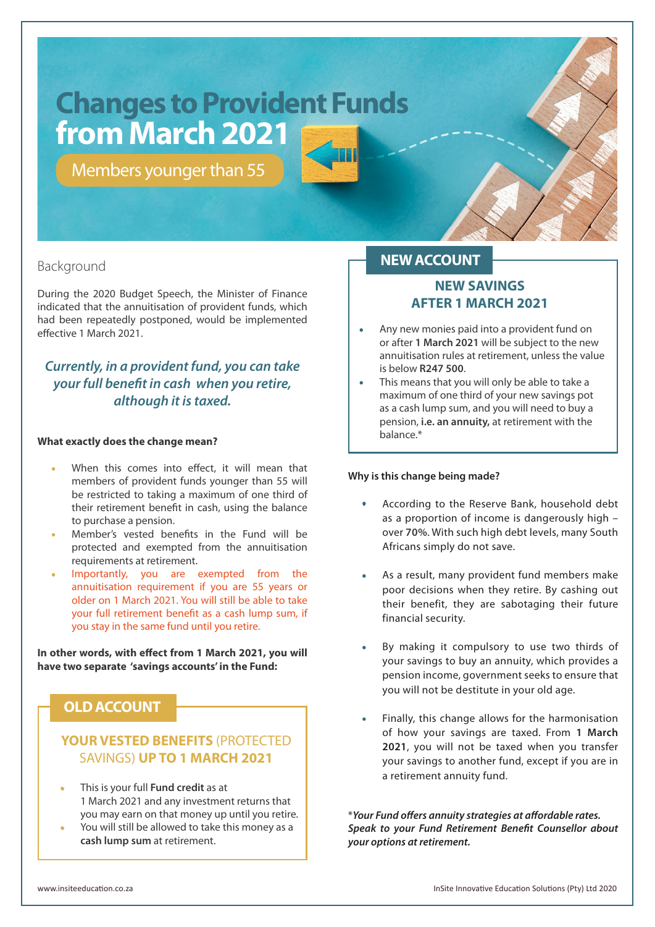# **Changes to Provident Funds from March 2021**

Members younger than 55

## Background

During the 2020 Budget Speech, the Minister of Finance indicated that the annuitisation of provident funds, which had been repeatedly postponed, would be implemented effective 1 March 2021.

# *Currently, in a provident fund, you can take your full benefit in cash when you retire, although it is taxed.*

#### **What exactly does the change mean?**

- When this comes into effect, it will mean that members of provident funds younger than 55 will be restricted to taking a maximum of one third of their retirement benefit in cash, using the balance to purchase a pension.
- Member's vested benefits in the Fund will be protected and exempted from the annuitisation requirements at retirement.
- Importantly, you are exempted from the annuitisation requirement if you are 55 years or older on 1 March 2021. You will still be able to take your full retirement benefit as a cash lump sum, if you stay in the same fund until you retire.

**In other words, with effect from 1 March 2021, you will have two separate 'savings accounts' in the Fund:**

# **OLD ACCOUNT**

## **YOUR VESTED BENEFITS** (PROTECTED SAVINGS) **UP TO 1 MARCH 2021**

- This is your full **Fund credit** as at 1 March 2021 and any investment returns that you may earn on that money up until you retire.
- You will still be allowed to take this money as a **cash lump sum** at retirement.

# **NEW ACCOUNT**

# **NEW SAVINGS AFTER 1 MARCH 2021**

- Any new monies paid into a provident fund on or after **1 March 2021** will be subject to the new annuitisation rules at retirement, unless the value is below **R247 500**.
- This means that you will only be able to take a maximum of one third of your new savings pot as a cash lump sum, and you will need to buy a pension, **i.e. an annuity,** at retirement with the balance.\*

## **Why is this change being made?**

- According to the Reserve Bank, household debt as a proportion of income is dangerously high – over **70%**. With such high debt levels, many South Africans simply do not save.
- As a result, many provident fund members make poor decisions when they retire. By cashing out their benefit, they are sabotaging their future financial security.
- By making it compulsory to use two thirds of your savings to buy an annuity, which provides a pension income, government seeks to ensure that you will not be destitute in your old age.
- Finally, this change allows for the harmonisation of how your savings are taxed. From **1 March 2021**, you will not be taxed when you transfer your savings to another fund, except if you are in a retirement annuity fund.

\**Your Fund offers annuity strategies at affordable rates. Speak to your Fund Retirement Benefit Counsellor about your options at retirement.*